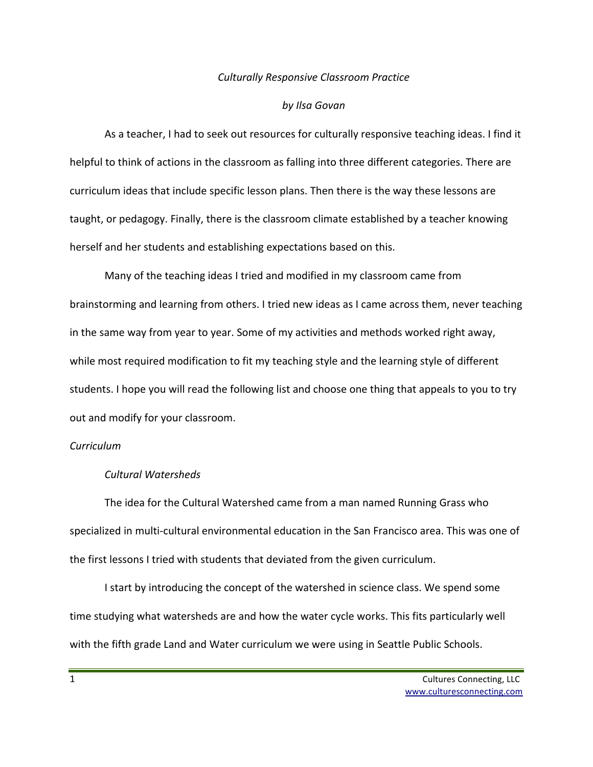## *Culturally Responsive Classroom Practice*

#### *by Ilsa Govan*

As a teacher, I had to seek out resources for culturally responsive teaching ideas. I find it helpful to think of actions in the classroom as falling into three different categories. There are curriculum ideas that include specific lesson plans. Then there is the way these lessons are taught, or pedagogy. Finally, there is the classroom climate established by a teacher knowing herself and her students and establishing expectations based on this.

Many of the teaching ideas I tried and modified in my classroom came from brainstorming and learning from others. I tried new ideas as I came across them, never teaching in the same way from year to year. Some of my activities and methods worked right away, while most required modification to fit my teaching style and the learning style of different students. I hope you will read the following list and choose one thing that appeals to you to try out and modify for your classroom.

# *Curriculum*

# *Cultural Watersheds*

The idea for the Cultural Watershed came from a man named Running Grass who specialized in multi-cultural environmental education in the San Francisco area. This was one of the first lessons I tried with students that deviated from the given curriculum.

I start by introducing the concept of the watershed in science class. We spend some time studying what watersheds are and how the water cycle works. This fits particularly well with the fifth grade Land and Water curriculum we were using in Seattle Public Schools.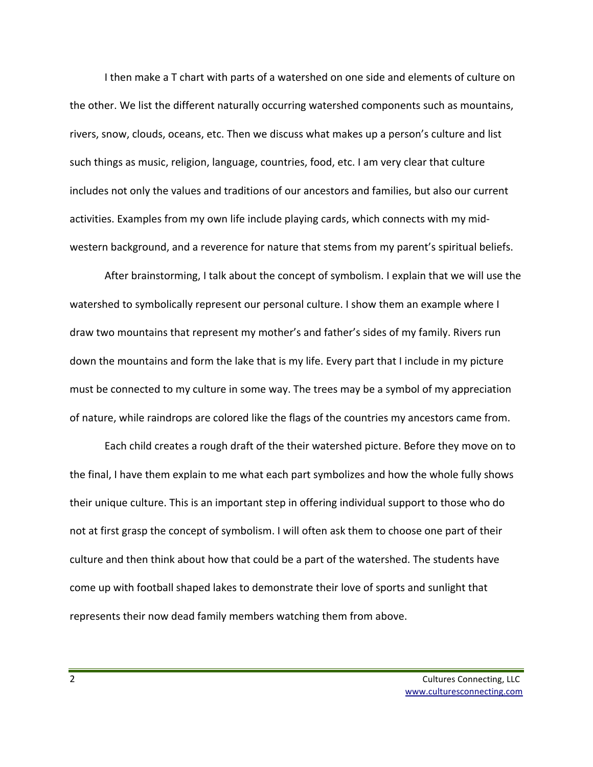I then make a T chart with parts of a watershed on one side and elements of culture on the other. We list the different naturally occurring watershed components such as mountains, rivers, snow, clouds, oceans, etc. Then we discuss what makes up a person's culture and list such things as music, religion, language, countries, food, etc. I am very clear that culture includes not only the values and traditions of our ancestors and families, but also our current activities. Examples from my own life include playing cards, which connects with my midwestern background, and a reverence for nature that stems from my parent's spiritual beliefs.

After brainstorming, I talk about the concept of symbolism. I explain that we will use the watershed to symbolically represent our personal culture. I show them an example where I draw two mountains that represent my mother's and father's sides of my family. Rivers run down the mountains and form the lake that is my life. Every part that I include in my picture must be connected to my culture in some way. The trees may be a symbol of my appreciation of nature, while raindrops are colored like the flags of the countries my ancestors came from.

Each child creates a rough draft of the their watershed picture. Before they move on to the final, I have them explain to me what each part symbolizes and how the whole fully shows their unique culture. This is an important step in offering individual support to those who do not at first grasp the concept of symbolism. I will often ask them to choose one part of their culture and then think about how that could be a part of the watershed. The students have come up with football shaped lakes to demonstrate their love of sports and sunlight that represents their now dead family members watching them from above.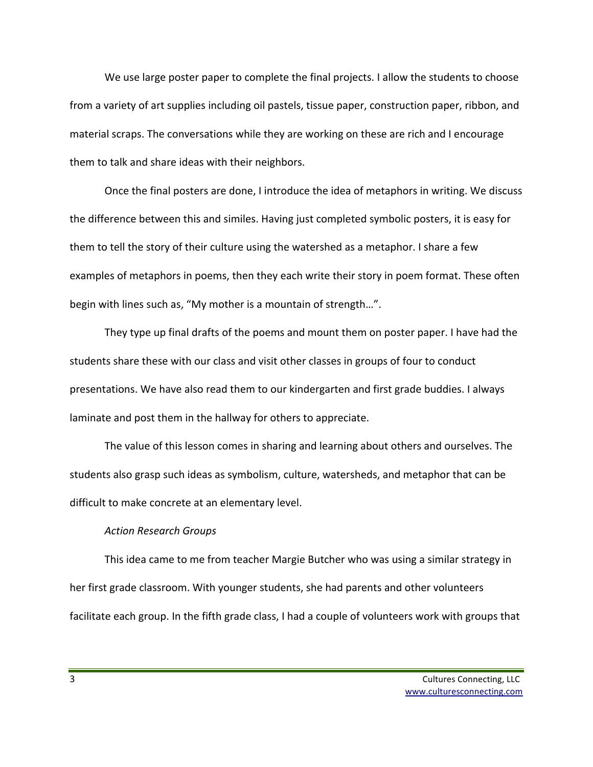We use large poster paper to complete the final projects. I allow the students to choose from a variety of art supplies including oil pastels, tissue paper, construction paper, ribbon, and material scraps. The conversations while they are working on these are rich and I encourage them to talk and share ideas with their neighbors.

Once the final posters are done, I introduce the idea of metaphors in writing. We discuss the difference between this and similes. Having just completed symbolic posters, it is easy for them to tell the story of their culture using the watershed as a metaphor. I share a few examples of metaphors in poems, then they each write their story in poem format. These often begin with lines such as, "My mother is a mountain of strength...".

They type up final drafts of the poems and mount them on poster paper. I have had the students share these with our class and visit other classes in groups of four to conduct presentations. We have also read them to our kindergarten and first grade buddies. I always laminate and post them in the hallway for others to appreciate.

The value of this lesson comes in sharing and learning about others and ourselves. The students also grasp such ideas as symbolism, culture, watersheds, and metaphor that can be difficult to make concrete at an elementary level.

# *Action Research Groups*

This idea came to me from teacher Margie Butcher who was using a similar strategy in her first grade classroom. With younger students, she had parents and other volunteers facilitate each group. In the fifth grade class, I had a couple of volunteers work with groups that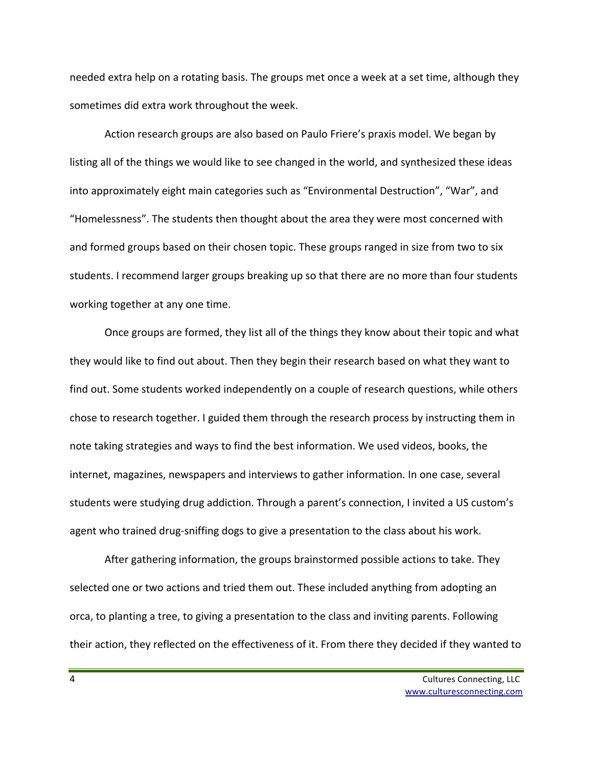needed extra help on a rotating basis. The groups met once a week at a set time, although they sometimes did extra work throughout the week.

Action research groups are also based on Paulo Friere's praxis model. We began by listing all of the things we would like to see changed in the world, and synthesized these ideas into approximately eight main categories such as "Environmental Destruction", "War", and "Homelessness". The students then thought about the area they were most concerned with and formed groups based on their chosen topic. These groups ranged in size from two to six students. I recommend larger groups breaking up so that there are no more than four students working together at any one time.

Once groups are formed, they list all of the things they know about their topic and what they would like to find out about. Then they begin their research based on what they want to find out. Some students worked independently on a couple of research questions, while others chose to research together. I guided them through the research process by instructing them in note taking strategies and ways to find the best information. We used videos, books, the internet, magazines, newspapers and interviews to gather information. In one case, several students were studying drug addiction. Through a parent's connection, I invited a US custom's agent who trained drug-sniffing dogs to give a presentation to the class about his work.

After gathering information, the groups brainstormed possible actions to take. They selected one or two actions and tried them out. These included anything from adopting an orca, to planting a tree, to giving a presentation to the class and inviting parents. Following their action, they reflected on the effectiveness of it. From there they decided if they wanted to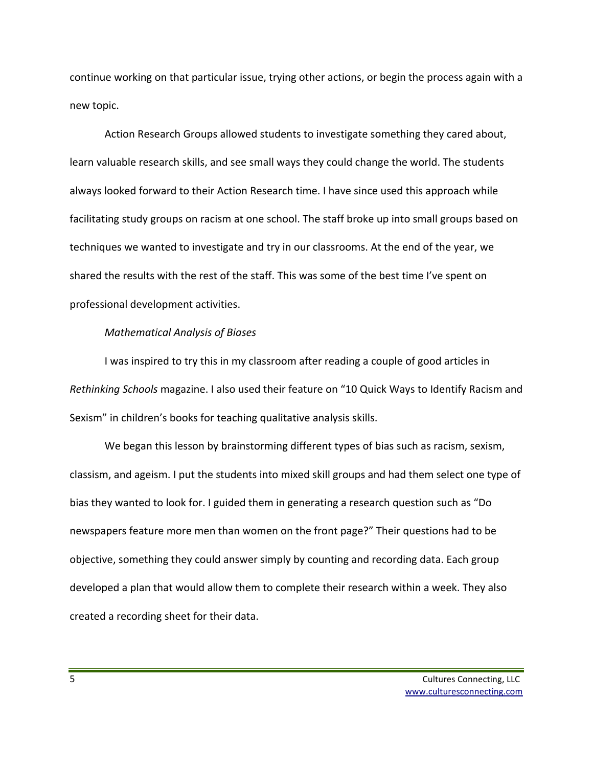continue working on that particular issue, trying other actions, or begin the process again with a new topic.

Action Research Groups allowed students to investigate something they cared about, learn valuable research skills, and see small ways they could change the world. The students always looked forward to their Action Research time. I have since used this approach while facilitating study groups on racism at one school. The staff broke up into small groups based on techniques we wanted to investigate and try in our classrooms. At the end of the year, we shared the results with the rest of the staff. This was some of the best time I've spent on professional development activities.

# *Mathematical Analysis of Biases*

I was inspired to try this in my classroom after reading a couple of good articles in *Rethinking Schools* magazine. I also used their feature on "10 Quick Ways to Identify Racism and Sexism" in children's books for teaching qualitative analysis skills.

We began this lesson by brainstorming different types of bias such as racism, sexism, classism, and ageism. I put the students into mixed skill groups and had them select one type of bias they wanted to look for. I guided them in generating a research question such as "Do newspapers feature more men than women on the front page?" Their questions had to be objective, something they could answer simply by counting and recording data. Each group developed a plan that would allow them to complete their research within a week. They also created a recording sheet for their data.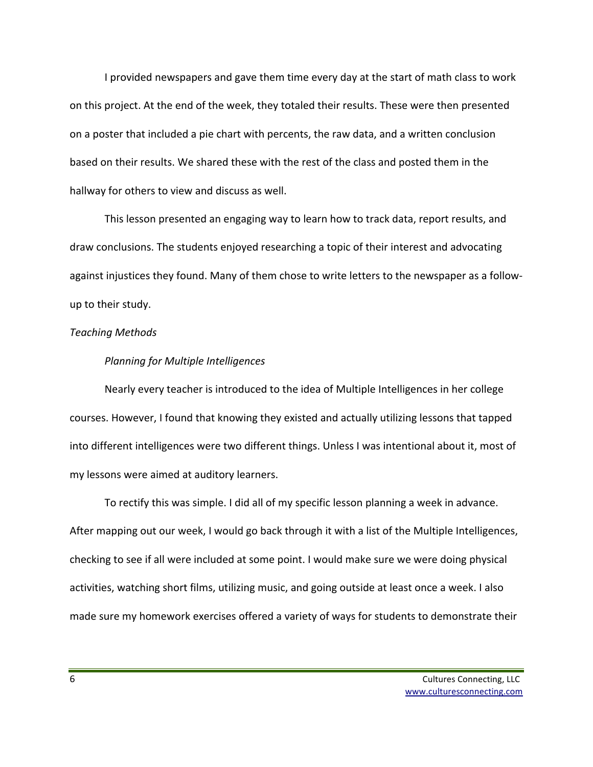I provided newspapers and gave them time every day at the start of math class to work on this project. At the end of the week, they totaled their results. These were then presented on a poster that included a pie chart with percents, the raw data, and a written conclusion based on their results. We shared these with the rest of the class and posted them in the hallway for others to view and discuss as well.

This lesson presented an engaging way to learn how to track data, report results, and draw conclusions. The students enjoyed researching a topic of their interest and advocating against injustices they found. Many of them chose to write letters to the newspaper as a followup to their study.

# *Teaching Methods*

### *Planning for Multiple Intelligences*

Nearly every teacher is introduced to the idea of Multiple Intelligences in her college courses. However, I found that knowing they existed and actually utilizing lessons that tapped into different intelligences were two different things. Unless I was intentional about it, most of my lessons were aimed at auditory learners.

To rectify this was simple. I did all of my specific lesson planning a week in advance. After mapping out our week, I would go back through it with a list of the Multiple Intelligences, checking to see if all were included at some point. I would make sure we were doing physical activities, watching short films, utilizing music, and going outside at least once a week. I also made sure my homework exercises offered a variety of ways for students to demonstrate their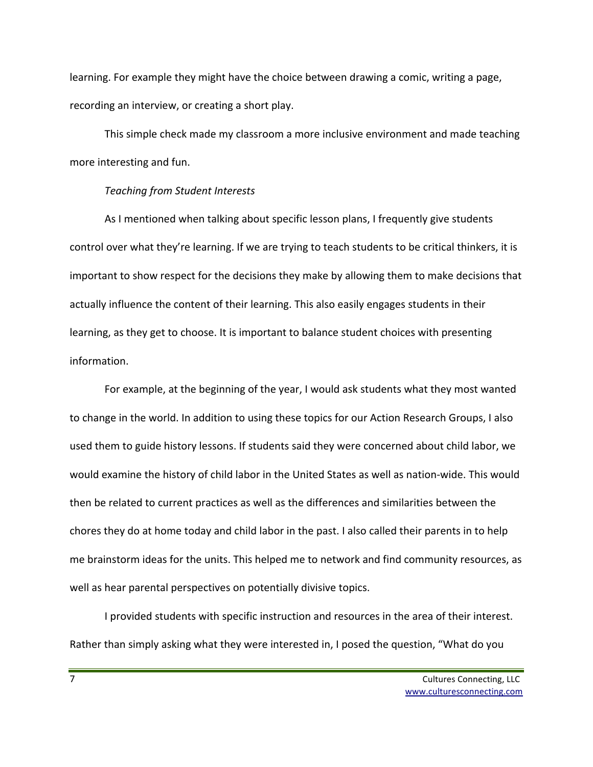learning. For example they might have the choice between drawing a comic, writing a page, recording an interview, or creating a short play.

This simple check made my classroom a more inclusive environment and made teaching more interesting and fun.

# *Teaching from Student Interests*

As I mentioned when talking about specific lesson plans, I frequently give students control over what they're learning. If we are trying to teach students to be critical thinkers, it is important to show respect for the decisions they make by allowing them to make decisions that actually influence the content of their learning. This also easily engages students in their learning, as they get to choose. It is important to balance student choices with presenting information. 

For example, at the beginning of the year, I would ask students what they most wanted to change in the world. In addition to using these topics for our Action Research Groups, I also used them to guide history lessons. If students said they were concerned about child labor, we would examine the history of child labor in the United States as well as nation-wide. This would then be related to current practices as well as the differences and similarities between the chores they do at home today and child labor in the past. I also called their parents in to help me brainstorm ideas for the units. This helped me to network and find community resources, as well as hear parental perspectives on potentially divisive topics.

I provided students with specific instruction and resources in the area of their interest. Rather than simply asking what they were interested in, I posed the question, "What do you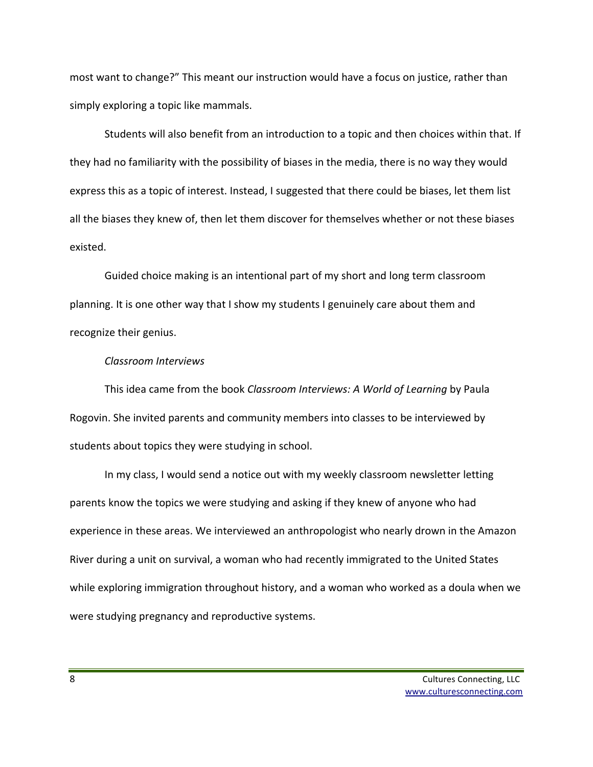most want to change?" This meant our instruction would have a focus on justice, rather than simply exploring a topic like mammals.

Students will also benefit from an introduction to a topic and then choices within that. If they had no familiarity with the possibility of biases in the media, there is no way they would express this as a topic of interest. Instead, I suggested that there could be biases, let them list all the biases they knew of, then let them discover for themselves whether or not these biases existed.

Guided choice making is an intentional part of my short and long term classroom planning. It is one other way that I show my students I genuinely care about them and recognize their genius.

# *Classroom Interviews*

This idea came from the book *Classroom Interviews: A World of Learning* by Paula Rogovin. She invited parents and community members into classes to be interviewed by students about topics they were studying in school.

In my class, I would send a notice out with my weekly classroom newsletter letting parents know the topics we were studying and asking if they knew of anyone who had experience in these areas. We interviewed an anthropologist who nearly drown in the Amazon River during a unit on survival, a woman who had recently immigrated to the United States while exploring immigration throughout history, and a woman who worked as a doula when we were studying pregnancy and reproductive systems.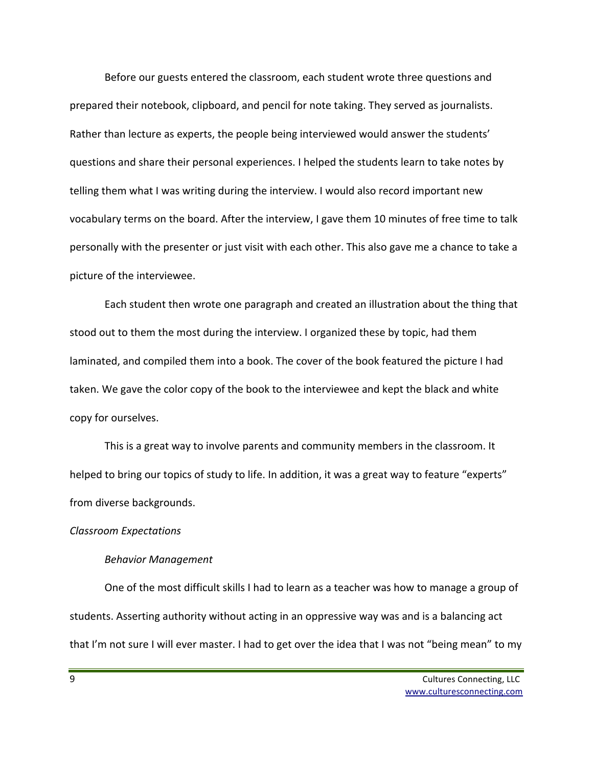Before our guests entered the classroom, each student wrote three questions and prepared their notebook, clipboard, and pencil for note taking. They served as journalists. Rather than lecture as experts, the people being interviewed would answer the students' questions and share their personal experiences. I helped the students learn to take notes by telling them what I was writing during the interview. I would also record important new vocabulary terms on the board. After the interview, I gave them 10 minutes of free time to talk personally with the presenter or just visit with each other. This also gave me a chance to take a picture of the interviewee.

Each student then wrote one paragraph and created an illustration about the thing that stood out to them the most during the interview. I organized these by topic, had them laminated, and compiled them into a book. The cover of the book featured the picture I had taken. We gave the color copy of the book to the interviewee and kept the black and white copy for ourselves.

This is a great way to involve parents and community members in the classroom. It helped to bring our topics of study to life. In addition, it was a great way to feature "experts" from diverse backgrounds.

# *Classroom Expectations*

### *Behavior Management*

One of the most difficult skills I had to learn as a teacher was how to manage a group of students. Asserting authority without acting in an oppressive way was and is a balancing act that I'm not sure I will ever master. I had to get over the idea that I was not "being mean" to my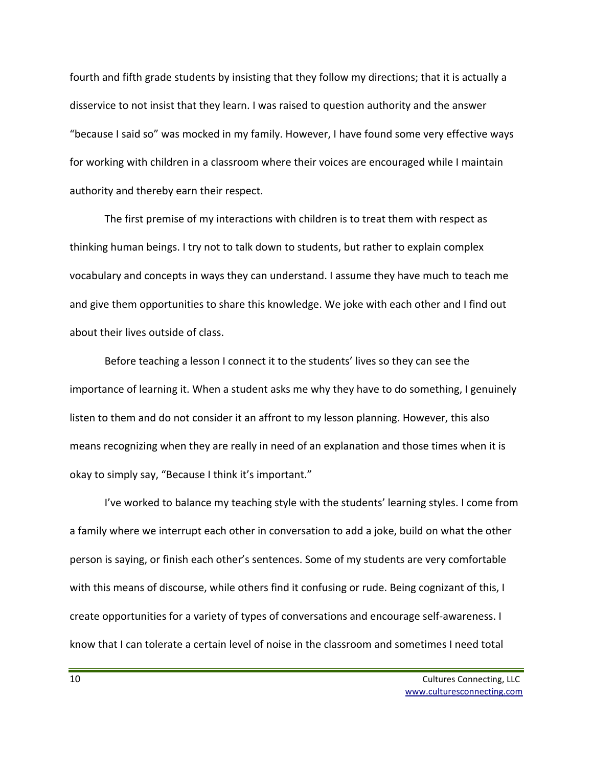fourth and fifth grade students by insisting that they follow my directions; that it is actually a disservice to not insist that they learn. I was raised to question authority and the answer "because I said so" was mocked in my family. However, I have found some very effective ways for working with children in a classroom where their voices are encouraged while I maintain authority and thereby earn their respect.

The first premise of my interactions with children is to treat them with respect as thinking human beings. I try not to talk down to students, but rather to explain complex vocabulary and concepts in ways they can understand. I assume they have much to teach me and give them opportunities to share this knowledge. We joke with each other and I find out about their lives outside of class.

Before teaching a lesson I connect it to the students' lives so they can see the importance of learning it. When a student asks me why they have to do something, I genuinely listen to them and do not consider it an affront to my lesson planning. However, this also means recognizing when they are really in need of an explanation and those times when it is okay to simply say, "Because I think it's important."

I've worked to balance my teaching style with the students' learning styles. I come from a family where we interrupt each other in conversation to add a joke, build on what the other person is saying, or finish each other's sentences. Some of my students are very comfortable with this means of discourse, while others find it confusing or rude. Being cognizant of this, I create opportunities for a variety of types of conversations and encourage self-awareness. I know that I can tolerate a certain level of noise in the classroom and sometimes I need total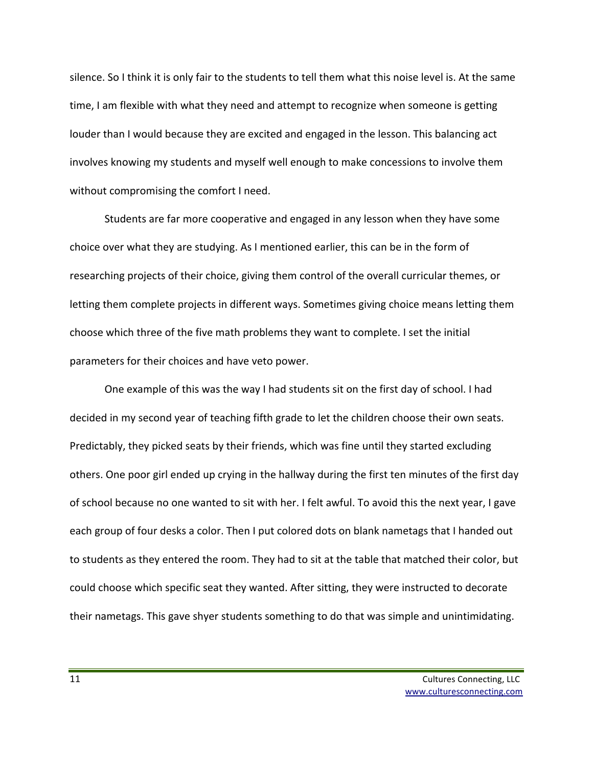silence. So I think it is only fair to the students to tell them what this noise level is. At the same time, I am flexible with what they need and attempt to recognize when someone is getting louder than I would because they are excited and engaged in the lesson. This balancing act involves knowing my students and myself well enough to make concessions to involve them without compromising the comfort I need.

Students are far more cooperative and engaged in any lesson when they have some choice over what they are studying. As I mentioned earlier, this can be in the form of researching projects of their choice, giving them control of the overall curricular themes, or letting them complete projects in different ways. Sometimes giving choice means letting them choose which three of the five math problems they want to complete. I set the initial parameters for their choices and have veto power.

One example of this was the way I had students sit on the first day of school. I had decided in my second year of teaching fifth grade to let the children choose their own seats. Predictably, they picked seats by their friends, which was fine until they started excluding others. One poor girl ended up crying in the hallway during the first ten minutes of the first day of school because no one wanted to sit with her. I felt awful. To avoid this the next year, I gave each group of four desks a color. Then I put colored dots on blank nametags that I handed out to students as they entered the room. They had to sit at the table that matched their color, but could choose which specific seat they wanted. After sitting, they were instructed to decorate their nametags. This gave shyer students something to do that was simple and unintimidating.